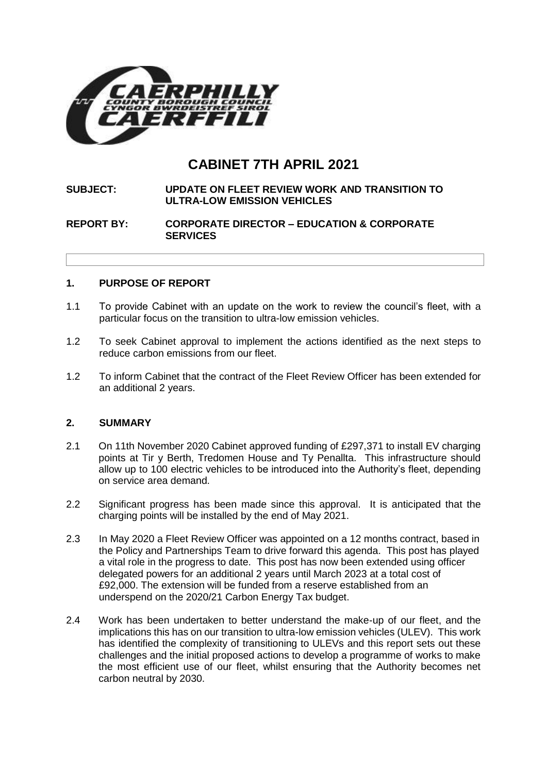

# **CABINET 7TH APRIL 2021**

#### **SUBJECT: UPDATE ON FLEET REVIEW WORK AND TRANSITION TO ULTRA-LOW EMISSION VEHICLES**

#### **REPORT BY: CORPORATE DIRECTOR – EDUCATION & CORPORATE SERVICES**

## **1. PURPOSE OF REPORT**

- 1.1 To provide Cabinet with an update on the work to review the council's fleet, with a particular focus on the transition to ultra-low emission vehicles.
- 1.2 To seek Cabinet approval to implement the actions identified as the next steps to reduce carbon emissions from our fleet.
- 1.2 To inform Cabinet that the contract of the Fleet Review Officer has been extended for an additional 2 years.

#### **2. SUMMARY**

- 2.1 On 11th November 2020 Cabinet approved funding of £297,371 to install EV charging points at Tir y Berth, Tredomen House and Ty Penallta. This infrastructure should allow up to 100 electric vehicles to be introduced into the Authority's fleet, depending on service area demand.
- 2.2 Significant progress has been made since this approval. It is anticipated that the charging points will be installed by the end of May 2021.
- 2.3 In May 2020 a Fleet Review Officer was appointed on a 12 months contract, based in the Policy and Partnerships Team to drive forward this agenda. This post has played a vital role in the progress to date. This post has now been extended using officer delegated powers for an additional 2 years until March 2023 at a total cost of £92,000. The extension will be funded from a reserve established from an underspend on the 2020/21 Carbon Energy Tax budget.
- 2.4 Work has been undertaken to better understand the make-up of our fleet, and the implications this has on our transition to ultra-low emission vehicles (ULEV). This work has identified the complexity of transitioning to ULEVs and this report sets out these challenges and the initial proposed actions to develop a programme of works to make the most efficient use of our fleet, whilst ensuring that the Authority becomes net carbon neutral by 2030.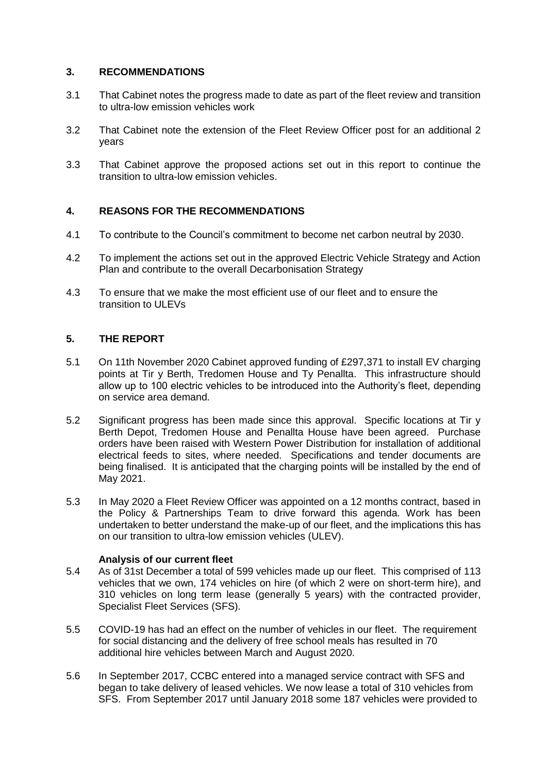# **3. RECOMMENDATIONS**

- 3.1 That Cabinet notes the progress made to date as part of the fleet review and transition to ultra-low emission vehicles work
- 3.2 That Cabinet note the extension of the Fleet Review Officer post for an additional 2 years
- 3.3 That Cabinet approve the proposed actions set out in this report to continue the transition to ultra-low emission vehicles.

# **4. REASONS FOR THE RECOMMENDATIONS**

- 4.1 To contribute to the Council's commitment to become net carbon neutral by 2030.
- 4.2 To implement the actions set out in the approved Electric Vehicle Strategy and Action Plan and contribute to the overall Decarbonisation Strategy
- 4.3 To ensure that we make the most efficient use of our fleet and to ensure the transition to ULEVs

# **5. THE REPORT**

- 5.1 On 11th November 2020 Cabinet approved funding of £297,371 to install EV charging points at Tir y Berth, Tredomen House and Ty Penallta. This infrastructure should allow up to 100 electric vehicles to be introduced into the Authority's fleet, depending on service area demand.
- 5.2 Significant progress has been made since this approval. Specific locations at Tir y Berth Depot, Tredomen House and Penallta House have been agreed. Purchase orders have been raised with Western Power Distribution for installation of additional electrical feeds to sites, where needed. Specifications and tender documents are being finalised. It is anticipated that the charging points will be installed by the end of May 2021.
- 5.3 In May 2020 a Fleet Review Officer was appointed on a 12 months contract, based in the Policy & Partnerships Team to drive forward this agenda. Work has been undertaken to better understand the make-up of our fleet, and the implications this has on our transition to ultra-low emission vehicles (ULEV).

## **Analysis of our current fleet**

- 5.4 As of 31st December a total of 599 vehicles made up our fleet. This comprised of 113 vehicles that we own, 174 vehicles on hire (of which 2 were on short-term hire), and 310 vehicles on long term lease (generally 5 years) with the contracted provider, Specialist Fleet Services (SFS).
- 5.5 COVID-19 has had an effect on the number of vehicles in our fleet. The requirement for social distancing and the delivery of free school meals has resulted in 70 additional hire vehicles between March and August 2020.
- 5.6 In September 2017, CCBC entered into a managed service contract with SFS and began to take delivery of leased vehicles. We now lease a total of 310 vehicles from SFS. From September 2017 until January 2018 some 187 vehicles were provided to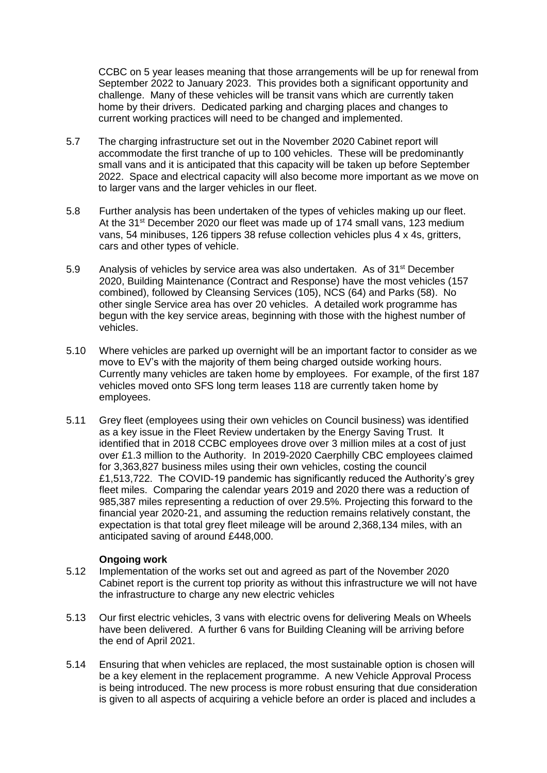CCBC on 5 year leases meaning that those arrangements will be up for renewal from September 2022 to January 2023. This provides both a significant opportunity and challenge. Many of these vehicles will be transit vans which are currently taken home by their drivers. Dedicated parking and charging places and changes to current working practices will need to be changed and implemented.

- 5.7 The charging infrastructure set out in the November 2020 Cabinet report will accommodate the first tranche of up to 100 vehicles. These will be predominantly small vans and it is anticipated that this capacity will be taken up before September 2022. Space and electrical capacity will also become more important as we move on to larger vans and the larger vehicles in our fleet.
- 5.8 Further analysis has been undertaken of the types of vehicles making up our fleet. At the 31<sup>st</sup> December 2020 our fleet was made up of 174 small vans, 123 medium vans, 54 minibuses, 126 tippers 38 refuse collection vehicles plus 4 x 4s, gritters, cars and other types of vehicle.
- 5.9 Analysis of vehicles by service area was also undertaken. As of 31<sup>st</sup> December 2020, Building Maintenance (Contract and Response) have the most vehicles (157 combined), followed by Cleansing Services (105), NCS (64) and Parks (58). No other single Service area has over 20 vehicles. A detailed work programme has begun with the key service areas, beginning with those with the highest number of vehicles.
- 5.10 Where vehicles are parked up overnight will be an important factor to consider as we move to EV's with the majority of them being charged outside working hours. Currently many vehicles are taken home by employees. For example, of the first 187 vehicles moved onto SFS long term leases 118 are currently taken home by employees.
- 5.11 Grey fleet (employees using their own vehicles on Council business) was identified as a key issue in the Fleet Review undertaken by the Energy Saving Trust. It identified that in 2018 CCBC employees drove over 3 million miles at a cost of just over £1.3 million to the Authority. In 2019-2020 Caerphilly CBC employees claimed for 3,363,827 business miles using their own vehicles, costing the council £1,513,722. The COVID-19 pandemic has significantly reduced the Authority's grey fleet miles. Comparing the calendar years 2019 and 2020 there was a reduction of 985,387 miles representing a reduction of over 29.5%. Projecting this forward to the financial year 2020-21, and assuming the reduction remains relatively constant, the expectation is that total grey fleet mileage will be around 2,368,134 miles, with an anticipated saving of around £448,000.

## **Ongoing work**

- 5.12 Implementation of the works set out and agreed as part of the November 2020 Cabinet report is the current top priority as without this infrastructure we will not have the infrastructure to charge any new electric vehicles
- 5.13 Our first electric vehicles, 3 vans with electric ovens for delivering Meals on Wheels have been delivered. A further 6 vans for Building Cleaning will be arriving before the end of April 2021.
- 5.14 Ensuring that when vehicles are replaced, the most sustainable option is chosen will be a key element in the replacement programme. A new Vehicle Approval Process is being introduced. The new process is more robust ensuring that due consideration is given to all aspects of acquiring a vehicle before an order is placed and includes a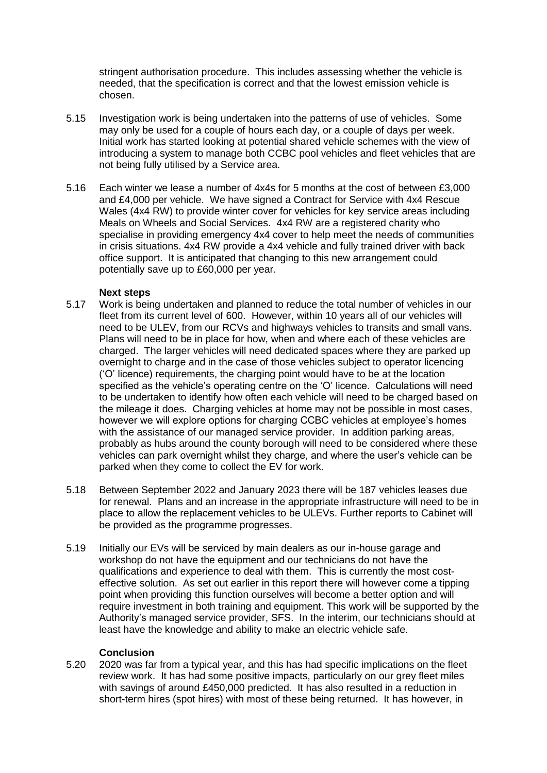stringent authorisation procedure. This includes assessing whether the vehicle is needed, that the specification is correct and that the lowest emission vehicle is chosen.

- 5.15 Investigation work is being undertaken into the patterns of use of vehicles. Some may only be used for a couple of hours each day, or a couple of days per week. Initial work has started looking at potential shared vehicle schemes with the view of introducing a system to manage both CCBC pool vehicles and fleet vehicles that are not being fully utilised by a Service area.
- 5.16 Each winter we lease a number of 4x4s for 5 months at the cost of between £3,000 and £4,000 per vehicle. We have signed a Contract for Service with 4x4 Rescue Wales (4x4 RW) to provide winter cover for vehicles for key service areas including Meals on Wheels and Social Services. 4x4 RW are a registered charity who specialise in providing emergency 4x4 cover to help meet the needs of communities in crisis situations. 4x4 RW provide a 4x4 vehicle and fully trained driver with back office support. It is anticipated that changing to this new arrangement could potentially save up to £60,000 per year.

#### **Next steps**

- 5.17 Work is being undertaken and planned to reduce the total number of vehicles in our fleet from its current level of 600. However, within 10 years all of our vehicles will need to be ULEV, from our RCVs and highways vehicles to transits and small vans. Plans will need to be in place for how, when and where each of these vehicles are charged. The larger vehicles will need dedicated spaces where they are parked up overnight to charge and in the case of those vehicles subject to operator licencing ('O' licence) requirements, the charging point would have to be at the location specified as the vehicle's operating centre on the 'O' licence. Calculations will need to be undertaken to identify how often each vehicle will need to be charged based on the mileage it does. Charging vehicles at home may not be possible in most cases, however we will explore options for charging CCBC vehicles at employee's homes with the assistance of our managed service provider. In addition parking areas, probably as hubs around the county borough will need to be considered where these vehicles can park overnight whilst they charge, and where the user's vehicle can be parked when they come to collect the EV for work.
- 5.18 Between September 2022 and January 2023 there will be 187 vehicles leases due for renewal. Plans and an increase in the appropriate infrastructure will need to be in place to allow the replacement vehicles to be ULEVs. Further reports to Cabinet will be provided as the programme progresses.
- 5.19 Initially our EVs will be serviced by main dealers as our in-house garage and workshop do not have the equipment and our technicians do not have the qualifications and experience to deal with them. This is currently the most costeffective solution. As set out earlier in this report there will however come a tipping point when providing this function ourselves will become a better option and will require investment in both training and equipment. This work will be supported by the Authority's managed service provider, SFS. In the interim, our technicians should at least have the knowledge and ability to make an electric vehicle safe.

#### **Conclusion**

5.20 2020 was far from a typical year, and this has had specific implications on the fleet review work. It has had some positive impacts, particularly on our grey fleet miles with savings of around £450,000 predicted. It has also resulted in a reduction in short-term hires (spot hires) with most of these being returned. It has however, in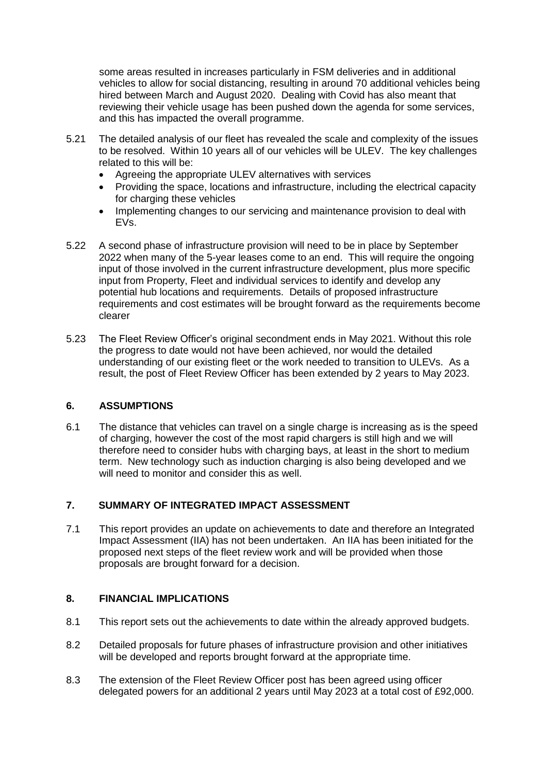some areas resulted in increases particularly in FSM deliveries and in additional vehicles to allow for social distancing, resulting in around 70 additional vehicles being hired between March and August 2020. Dealing with Covid has also meant that reviewing their vehicle usage has been pushed down the agenda for some services, and this has impacted the overall programme.

- 5.21 The detailed analysis of our fleet has revealed the scale and complexity of the issues to be resolved. Within 10 years all of our vehicles will be ULEV. The key challenges related to this will be:
	- Agreeing the appropriate ULEV alternatives with services
	- Providing the space, locations and infrastructure, including the electrical capacity for charging these vehicles
	- Implementing changes to our servicing and maintenance provision to deal with EVs.
- 5.22 A second phase of infrastructure provision will need to be in place by September 2022 when many of the 5-year leases come to an end. This will require the ongoing input of those involved in the current infrastructure development, plus more specific input from Property, Fleet and individual services to identify and develop any potential hub locations and requirements. Details of proposed infrastructure requirements and cost estimates will be brought forward as the requirements become clearer
- 5.23 The Fleet Review Officer's original secondment ends in May 2021. Without this role the progress to date would not have been achieved, nor would the detailed understanding of our existing fleet or the work needed to transition to ULEVs. As a result, the post of Fleet Review Officer has been extended by 2 years to May 2023.

## **6. ASSUMPTIONS**

6.1 The distance that vehicles can travel on a single charge is increasing as is the speed of charging, however the cost of the most rapid chargers is still high and we will therefore need to consider hubs with charging bays, at least in the short to medium term. New technology such as induction charging is also being developed and we will need to monitor and consider this as well.

# **7. SUMMARY OF INTEGRATED IMPACT ASSESSMENT**

7.1 This report provides an update on achievements to date and therefore an Integrated Impact Assessment (IIA) has not been undertaken. An IIA has been initiated for the proposed next steps of the fleet review work and will be provided when those proposals are brought forward for a decision.

## **8. FINANCIAL IMPLICATIONS**

- 8.1 This report sets out the achievements to date within the already approved budgets.
- 8.2 Detailed proposals for future phases of infrastructure provision and other initiatives will be developed and reports brought forward at the appropriate time.
- 8.3 The extension of the Fleet Review Officer post has been agreed using officer delegated powers for an additional 2 years until May 2023 at a total cost of £92,000.